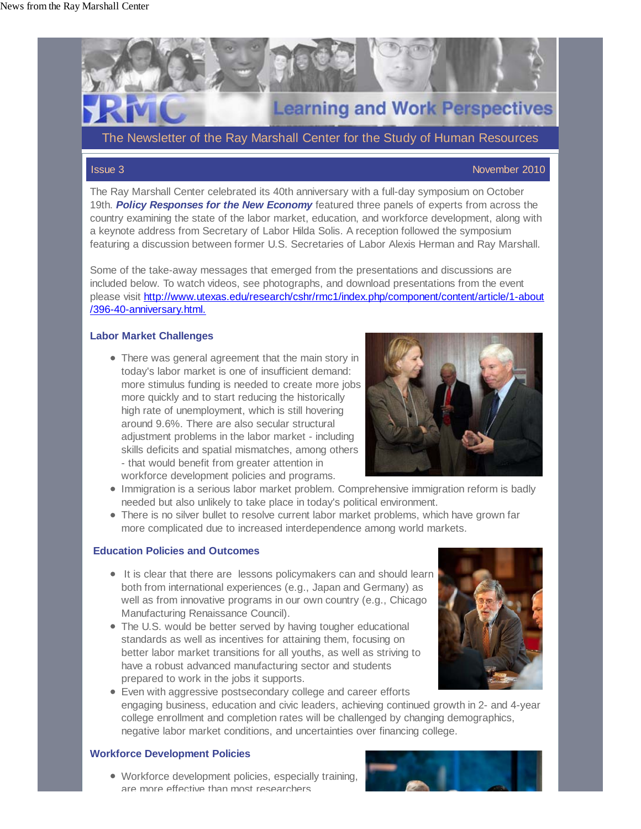

The Newsletter of the Ray Marshall Center for the Study of Human Resources

### Issue 3 November 2010

The Ray Marshall Center celebrated its 40th anniversary with a full-day symposium on October 19th. *Policy Responses for the New Economy* featured three panels of experts from across the country examining the state of the labor market, education, and workforce development, along with a keynote address from Secretary of Labor Hilda Solis. A reception followed the symposium featuring a discussion between former U.S. Secretaries of Labor Alexis Herman and Ray Marshall.

Some of the take-away messages that emerged from the presentations and discussions are included below. To watch videos, see photographs, and download presentations from the event please visit http://www.utexas.edu/research/cshr/rmc1/index.php/component/content/article/1-about /396-40-anniversary.html.

### **Labor Market Challenges**

There was general agreement that the main story in today's labor market is one of insufficient demand: more stimulus funding is needed to create more jobs more quickly and to start reducing the historically high rate of unemployment, which is still hovering around 9.6%. There are also secular structural adjustment problems in the labor market - including skills deficits and spatial mismatches, among others - that would benefit from greater attention in workforce development policies and programs.



- Immigration is a serious labor market problem. Comprehensive immigration reform is badly needed but also unlikely to take place in today's political environment.
- There is no silver bullet to resolve current labor market problems, which have grown far more complicated due to increased interdependence among world markets.

### **Education Policies and Outcomes**

- It is clear that there are lessons policymakers can and should learn both from international experiences (e.g., Japan and Germany) as well as from innovative programs in our own country (e.g., Chicago Manufacturing Renaissance Council).
- The U.S. would be better served by having tougher educational standards as well as incentives for attaining them, focusing on better labor market transitions for all youths, as well as striving to have a robust advanced manufacturing sector and students prepared to work in the jobs it supports.



Even with aggressive postsecondary college and career efforts engaging business, education and civic leaders, achieving continued growth in 2- and 4-year college enrollment and completion rates will be challenged by changing demographics, negative labor market conditions, and uncertainties over financing college.

### **Workforce Development Policies**

Workforce development policies, especially training, are more effective than most researchers

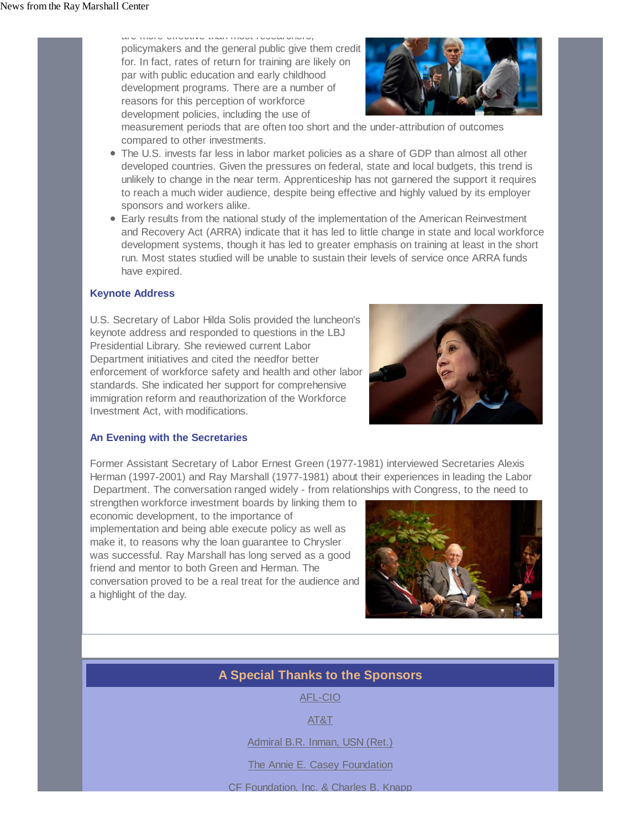are more effective than most researchers, policymakers and the general public give them credit for. In fact, rates of return for training are likely on par with public education and early childhood development programs. There are a number of reasons for this perception of workforce development policies, including the use of



measurement periods that are often too short and the under-attribution of outcomes compared to other investments.

- The U.S. invests far less in labor market policies as a share of GDP than almost all other developed countries. Given the pressures on federal, state and local budgets, this trend is unlikely to change in the near term. Apprenticeship has not garnered the support it requires to reach a much wider audience, despite being effective and highly valued by its employer sponsors and workers alike.
- Early results from the national study of the implementation of the American Reinvestment and Recovery Act (ARRA) indicate that it has led to little change in state and local workforce development systems, though it has led to greater emphasis on training at least in the short run. Most states studied will be unable to sustain their levels of service once ARRA funds have expired.

# **Keynote Address**

U.S. Secretary of Labor Hilda Solis provided the luncheon's keynote address and responded to questions in the LBJ Presidential Library. She reviewed current Labor Department initiatives and cited the needfor better enforcement of workforce safety and health and other labor standards. She indicated her support for comprehensive immigration reform and reauthorization of the Workforce Investment Act, with modifications.



# **An Evening with the Secretaries**

Former Assistant Secretary of Labor Ernest Green (1977-1981) interviewed Secretaries Alexis Herman (1997-2001) and Ray Marshall (1977-1981) about their experiences in leading the Labor Department. The conversation ranged widely - from relationships with Congress, to the need to

strengthen workforce investment boards by linking them to economic development, to the importance of implementation and being able execute policy as well as make it, to reasons why the loan guarantee to Chrysler was successful. Ray Marshall has long served as a good friend and mentor to both Green and Herman. The conversation proved to be a real treat for the audience and a highlight of the day.



# **A Special Thanks to the Sponsors**

AFL-CIO

AT&T

Admiral B.R. Inman, USN (Ret.)

The Annie E. Casey Foundation

CF Foundation, Inc. & Charles B. Knapp